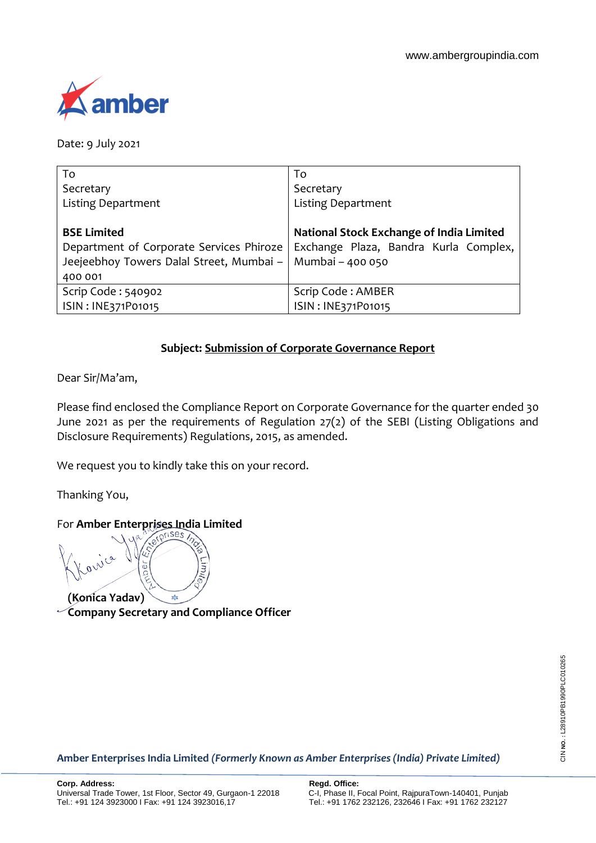

Date: 9 July 2021

| To                                       | To                                       |
|------------------------------------------|------------------------------------------|
| Secretary                                | Secretary                                |
| <b>Listing Department</b>                | <b>Listing Department</b>                |
|                                          |                                          |
| <b>BSE Limited</b>                       | National Stock Exchange of India Limited |
| Department of Corporate Services Phiroze | Exchange Plaza, Bandra Kurla Complex,    |
| Jeejeebhoy Towers Dalal Street, Mumbai - | Mumbai - 400 050                         |
| 400 001                                  |                                          |
| Scrip Code: 540902                       | Scrip Code: AMBER                        |
| ISIN: INE371P01015                       | ISIN: INE371P01015                       |

# **Subject: Submission of Corporate Governance Report**

Dear Sir/Ma'am,

Please find enclosed the Compliance Report on Corporate Governance for the quarter ended 30 June 2021 as per the requirements of Regulation 27(2) of the SEBI (Listing Obligations and Disclosure Requirements) Regulations, 2015, as amended.

We request you to kindly take this on your record.

Thanking You,

# For **Amber Enterprises India Limited**

רווח **(Konica Yadav)**

**Company Secretary and Compliance Officer**

**Amber Enterprises India Limited** *(Formerly Known as Amber Enterprises (India) Private Limited)*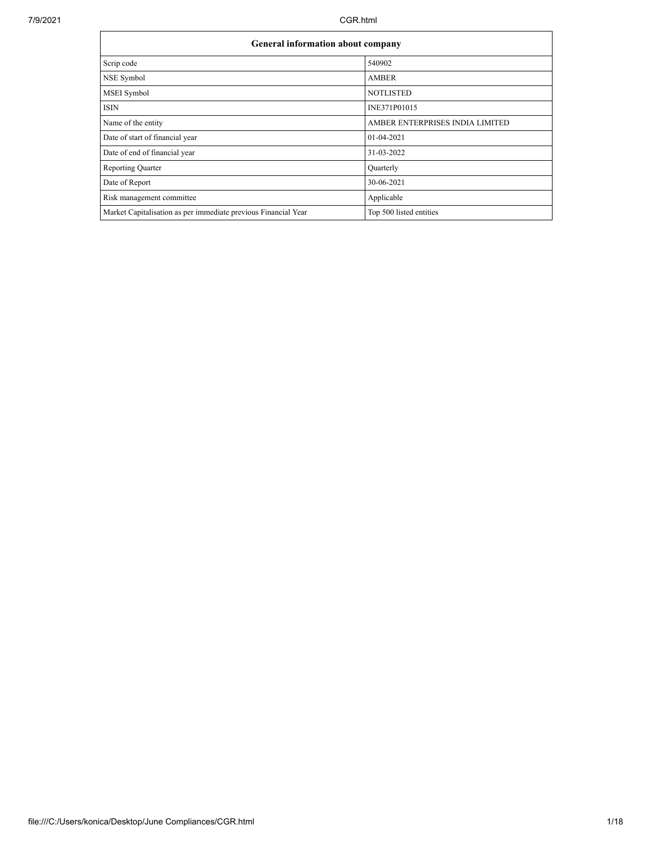7/9/2021 CGR.html

| <b>General information about company</b>                       |                                 |  |  |  |  |  |  |
|----------------------------------------------------------------|---------------------------------|--|--|--|--|--|--|
| Scrip code                                                     | 540902                          |  |  |  |  |  |  |
| NSE Symbol                                                     | <b>AMBER</b>                    |  |  |  |  |  |  |
| MSEI Symbol                                                    | <b>NOTLISTED</b>                |  |  |  |  |  |  |
| <b>ISIN</b>                                                    | INE371P01015                    |  |  |  |  |  |  |
| Name of the entity                                             | AMBER ENTERPRISES INDIA LIMITED |  |  |  |  |  |  |
| Date of start of financial year                                | 01-04-2021                      |  |  |  |  |  |  |
| Date of end of financial year                                  | 31-03-2022                      |  |  |  |  |  |  |
| <b>Reporting Quarter</b>                                       | Quarterly                       |  |  |  |  |  |  |
| Date of Report                                                 | 30-06-2021                      |  |  |  |  |  |  |
| Risk management committee                                      | Applicable                      |  |  |  |  |  |  |
| Market Capitalisation as per immediate previous Financial Year | Top 500 listed entities         |  |  |  |  |  |  |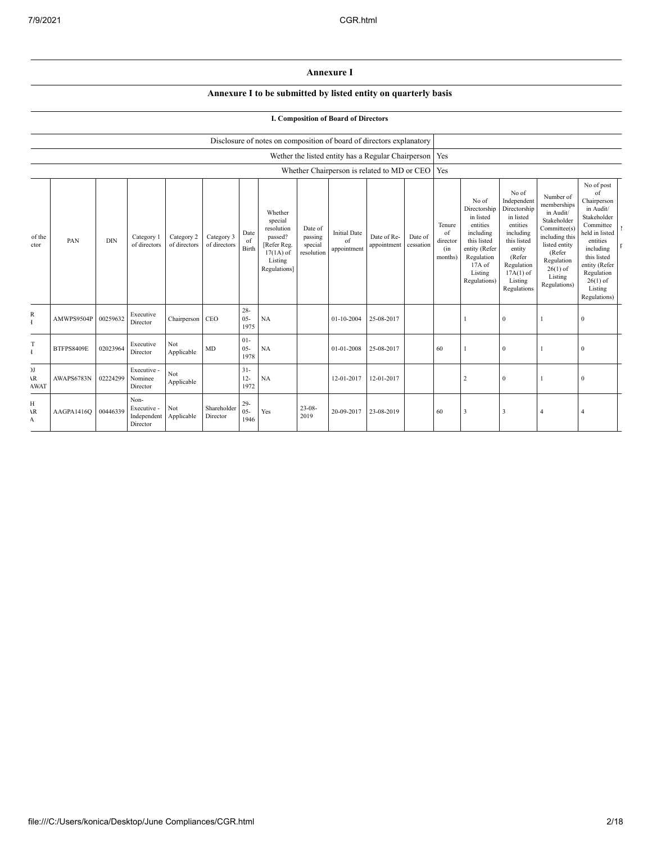## **Annexure I**

### **Annexure I to be submitted by listed entity on quarterly basis**

### **I. Composition of Board of Directors**

| Disclosure of notes on composition of board of directors explanatory |
|----------------------------------------------------------------------|
|----------------------------------------------------------------------|

|                                   |                   |            |                                                |                            |                            |                          |                                                                                                      |                                             |                                          | Wether the listed entity has a Regular Chairperson   Yes |                      |                                            |                                                                                                                                                |                                                                                                                                                                      |                                                                                                                                                                          |                                                                                                                                                                                                            |  |
|-----------------------------------|-------------------|------------|------------------------------------------------|----------------------------|----------------------------|--------------------------|------------------------------------------------------------------------------------------------------|---------------------------------------------|------------------------------------------|----------------------------------------------------------|----------------------|--------------------------------------------|------------------------------------------------------------------------------------------------------------------------------------------------|----------------------------------------------------------------------------------------------------------------------------------------------------------------------|--------------------------------------------------------------------------------------------------------------------------------------------------------------------------|------------------------------------------------------------------------------------------------------------------------------------------------------------------------------------------------------------|--|
|                                   |                   |            |                                                |                            |                            |                          |                                                                                                      |                                             |                                          | Whether Chairperson is related to MD or CEO   Yes        |                      |                                            |                                                                                                                                                |                                                                                                                                                                      |                                                                                                                                                                          |                                                                                                                                                                                                            |  |
| of the<br>ctor                    | PAN               | <b>DIN</b> | Category 1<br>of directors                     | Category 2<br>of directors | Category 3<br>of directors | Date<br>of<br>Birth      | Whether<br>special<br>resolution<br>passed?<br>[Refer Reg.<br>$17(1A)$ of<br>Listing<br>Regulations] | Date of<br>passing<br>special<br>resolution | <b>Initial Date</b><br>of<br>appointment | Date of Re-<br>appointment                               | Date of<br>cessation | Tenure<br>of<br>director<br>(in<br>months) | No of<br>Directorship<br>in listed<br>entities<br>including<br>this listed<br>entity (Refer<br>Regulation<br>17A of<br>Listing<br>Regulations) | No of<br>Independent<br>Directorship<br>in listed<br>entities<br>including<br>this listed<br>entity<br>(Refer<br>Regulation<br>$17A(1)$ of<br>Listing<br>Regulations | Number of<br>memberships<br>in Audit/<br>Stakeholder<br>Committee(s)<br>including this<br>listed entity<br>(Refer<br>Regulation<br>$26(1)$ of<br>Listing<br>Regulations) | No of post<br>of<br>Chairperson<br>in Audit/<br>Stakeholder<br>Committee<br>held in listed<br>entities<br>including<br>this listed<br>entity (Refer<br>Regulation<br>$26(1)$ of<br>Listing<br>Regulations) |  |
| R                                 | AMWPS9504P        | 00259632   | Executive<br>Director                          | Chairperson CEO            |                            | $28 -$<br>$05 -$<br>1975 | <b>NA</b>                                                                                            |                                             | 01-10-2004                               | 25-08-2017                                               |                      |                                            |                                                                                                                                                | $\bf{0}$                                                                                                                                                             |                                                                                                                                                                          | $\mathbf{0}$                                                                                                                                                                                               |  |
| T<br>Ŧ                            | <b>BTFPS8409E</b> | 02023964   | Executive<br>Director                          | Not<br>Applicable          | MD                         | $01 -$<br>$05 -$<br>1978 | <b>NA</b>                                                                                            |                                             | 01-01-2008                               | 25-08-2017                                               |                      | 60                                         |                                                                                                                                                | $\boldsymbol{0}$                                                                                                                                                     |                                                                                                                                                                          | $\mathbf{0}$                                                                                                                                                                                               |  |
| )J<br>$\mathbf{R}$<br><b>AWAT</b> | AWAPS6783N        | 02224299   | Executive -<br>Nominee<br>Director             | Not<br>Applicable          |                            | $31 -$<br>$12 -$<br>1972 | <b>NA</b>                                                                                            |                                             | 12-01-2017                               | 12-01-2017                                               |                      |                                            |                                                                                                                                                | $\bf{0}$                                                                                                                                                             |                                                                                                                                                                          | $\mathbf{0}$                                                                                                                                                                                               |  |
| Н<br>١R<br>A                      | AAGPA1416Q        | 00446339   | Non-<br>Executive -<br>Independent<br>Director | Not<br>Applicable          | Shareholder<br>Director    | $29 -$<br>$05 -$<br>1946 | Yes                                                                                                  | $23 - 08$<br>2019                           | 20-09-2017                               | 23-08-2019                                               |                      | 60                                         | 3                                                                                                                                              | 3                                                                                                                                                                    | $\overline{4}$                                                                                                                                                           | $\overline{4}$                                                                                                                                                                                             |  |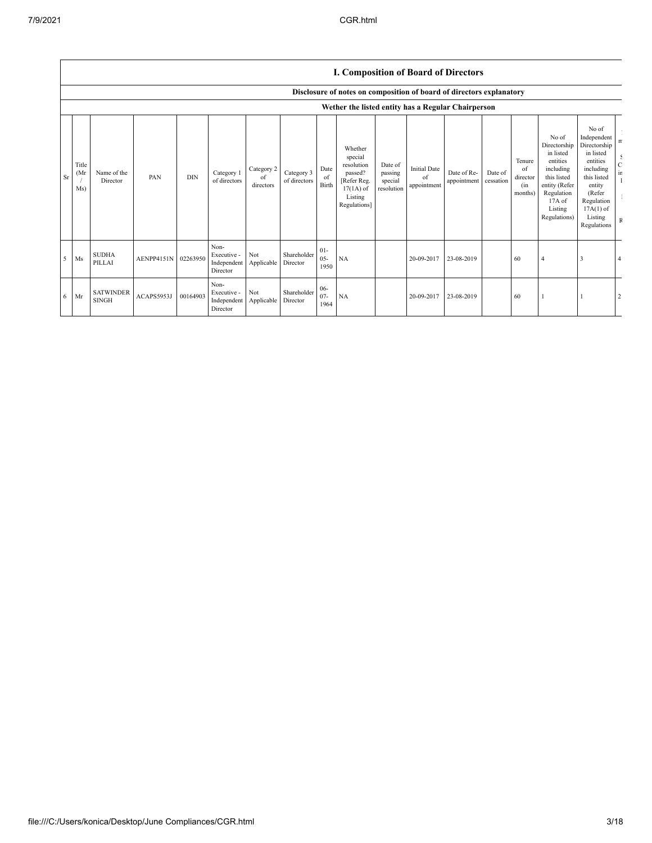| I. Composition of Board of Directors |  |
|--------------------------------------|--|
|--------------------------------------|--|

|           |                                   |                                  |            |            |                                                |                               |                            |                          | Disclosure of notes on composition of board of directors explanatory                                 |                                             |                                          |                            |                      |                                            |                                                                                                                                                |                                                                                                                                                                      |                                                            |
|-----------|-----------------------------------|----------------------------------|------------|------------|------------------------------------------------|-------------------------------|----------------------------|--------------------------|------------------------------------------------------------------------------------------------------|---------------------------------------------|------------------------------------------|----------------------------|----------------------|--------------------------------------------|------------------------------------------------------------------------------------------------------------------------------------------------|----------------------------------------------------------------------------------------------------------------------------------------------------------------------|------------------------------------------------------------|
|           |                                   |                                  |            |            |                                                |                               |                            |                          | Wether the listed entity has a Regular Chairperson                                                   |                                             |                                          |                            |                      |                                            |                                                                                                                                                |                                                                                                                                                                      |                                                            |
| <b>Sr</b> | Title<br>(M <sub>I</sub> )<br>Ms) | Name of the<br>Director          | PAN        | <b>DIN</b> | Category 1<br>of directors                     | Category 2<br>of<br>directors | Category 3<br>of directors | Date<br>of<br>Birth      | Whether<br>special<br>resolution<br>passed?<br>[Refer Reg.<br>$17(1A)$ of<br>Listing<br>Regulations] | Date of<br>passing<br>special<br>resolution | <b>Initial Date</b><br>of<br>appointment | Date of Re-<br>appointment | Date of<br>cessation | Tenure<br>of<br>director<br>(in<br>months) | No of<br>Directorship<br>in listed<br>entities<br>including<br>this listed<br>entity (Refer<br>Regulation<br>17A of<br>Listing<br>Regulations) | No of<br>Independent<br>Directorship<br>in listed<br>entities<br>including<br>this listed<br>entity<br>(Refer<br>Regulation<br>$17A(1)$ of<br>Listing<br>Regulations | $\mathbf n$<br>$\mathcal{L}$<br>$\frac{C}{\text{ir}}$<br>F |
| 5         | Ms                                | <b>SUDHA</b><br>PILLAI           | AENPP4151N | 02263950   | Non-<br>Executive -<br>Independent<br>Director | Not<br>Applicable             | Shareholder<br>Director    | $01 -$<br>$05 -$<br>1950 | NA                                                                                                   |                                             | 20-09-2017                               | 23-08-2019                 |                      | 60                                         | 4                                                                                                                                              | 3                                                                                                                                                                    |                                                            |
| 6         | Mr                                | <b>SATWINDER</b><br><b>SINGH</b> | ACAPS5953J | 00164903   | Non-<br>Executive -<br>Independent<br>Director | Not<br>Applicable             | Shareholder<br>Director    | $06 -$<br>$07 -$<br>1964 | NA                                                                                                   |                                             | 20-09-2017                               | 23-08-2019                 |                      | 60                                         |                                                                                                                                                |                                                                                                                                                                      |                                                            |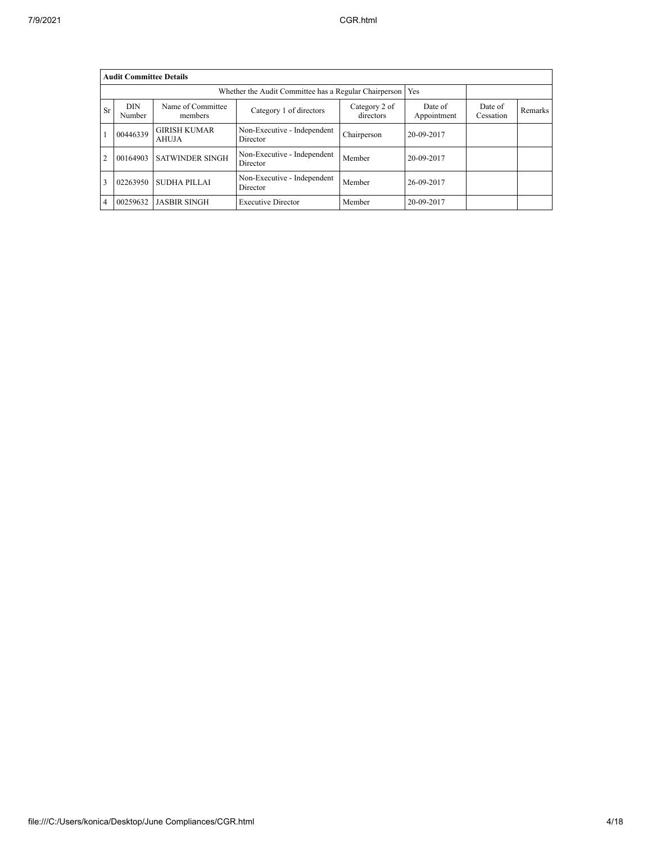|                | <b>Audit Committee Details</b> |                                     |                                         |                            |                        |                      |         |  |  |  |  |  |
|----------------|--------------------------------|-------------------------------------|-----------------------------------------|----------------------------|------------------------|----------------------|---------|--|--|--|--|--|
|                |                                |                                     |                                         |                            |                        |                      |         |  |  |  |  |  |
| Sr             | <b>DIN</b><br>Number           | Name of Committee<br>members        | Category 1 of directors                 | Category 2 of<br>directors | Date of<br>Appointment | Date of<br>Cessation | Remarks |  |  |  |  |  |
|                | 00446339                       | <b>GIRISH KUMAR</b><br><b>AHUJA</b> | Non-Executive - Independent<br>Director | Chairperson                | 20-09-2017             |                      |         |  |  |  |  |  |
| $\overline{2}$ | 00164903                       | <b>SATWINDER SINGH</b>              | Non-Executive - Independent<br>Director | Member                     | 20-09-2017             |                      |         |  |  |  |  |  |
| 3              | 02263950                       | <b>SUDHA PILLAI</b>                 | Non-Executive - Independent<br>Director | Member                     | 26-09-2017             |                      |         |  |  |  |  |  |
| 4              | 00259632                       | <b>JASBIR SINGH</b>                 | <b>Executive Director</b>               | Member                     | 20-09-2017             |                      |         |  |  |  |  |  |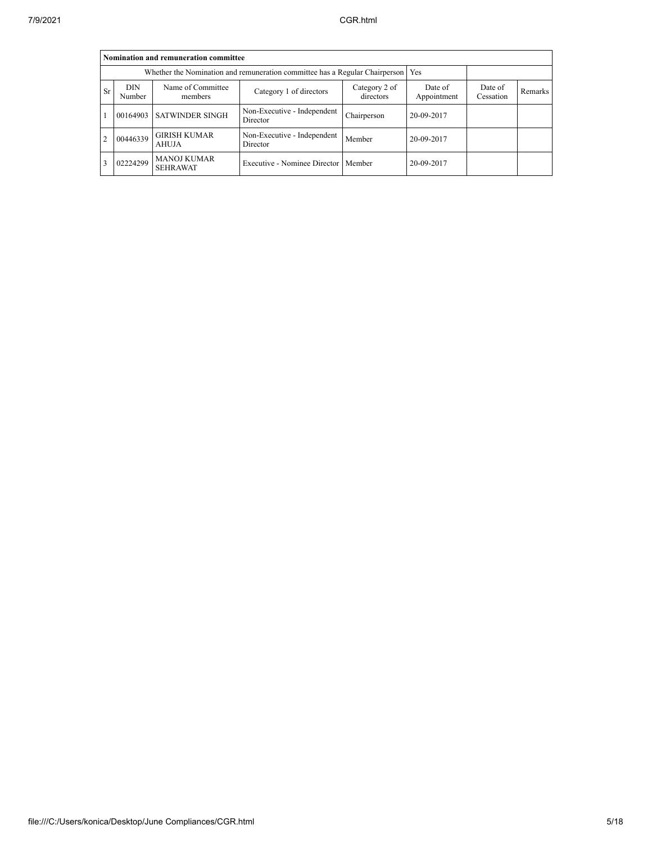|                | Nomination and remuneration committee |                                                                                   |                                         |                            |                        |                      |                |  |  |  |  |
|----------------|---------------------------------------|-----------------------------------------------------------------------------------|-----------------------------------------|----------------------------|------------------------|----------------------|----------------|--|--|--|--|
|                |                                       | Whether the Nomination and remuneration committee has a Regular Chairperson   Yes |                                         |                            |                        |                      |                |  |  |  |  |
| <b>Sr</b>      | <b>DIN</b><br>Number                  | Name of Committee<br>members                                                      | Category 1 of directors                 | Category 2 of<br>directors | Date of<br>Appointment | Date of<br>Cessation | <b>Remarks</b> |  |  |  |  |
|                | 00164903                              | <b>SATWINDER SINGH</b>                                                            | Non-Executive - Independent<br>Director | Chairperson                | 20-09-2017             |                      |                |  |  |  |  |
| $\overline{2}$ | 00446339                              | <b>GIRISH KUMAR</b><br>AHUJA                                                      | Non-Executive - Independent<br>Director | Member                     | 20-09-2017             |                      |                |  |  |  |  |
|                | 02224299                              | <b>MANOJ KUMAR</b><br><b>SEHRAWAT</b>                                             | Executive - Nominee Director   Member   |                            | 20-09-2017             |                      |                |  |  |  |  |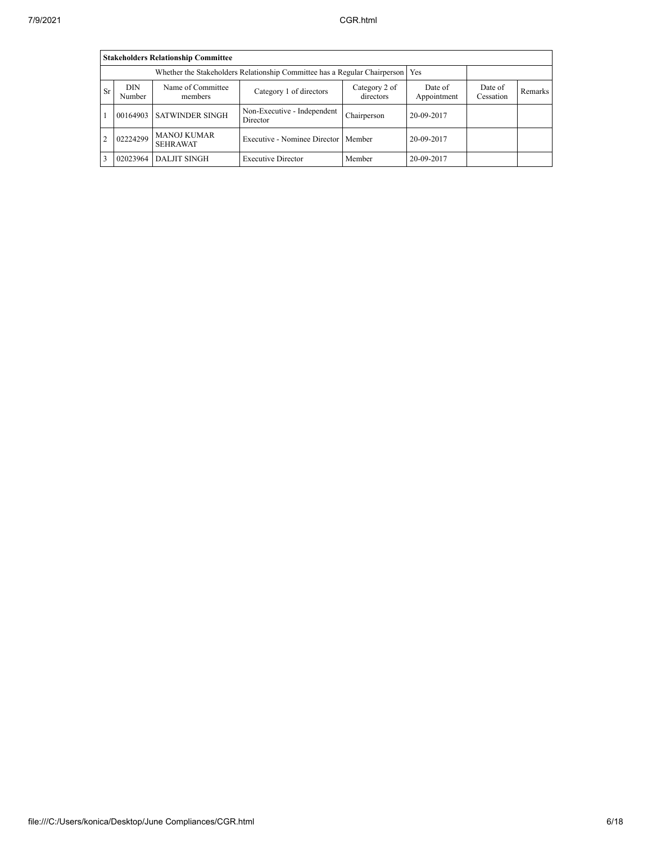|           | <b>Stakeholders Relationship Committee</b> |                                       |                                         |                            |                        |                      |         |  |  |  |  |
|-----------|--------------------------------------------|---------------------------------------|-----------------------------------------|----------------------------|------------------------|----------------------|---------|--|--|--|--|
|           |                                            |                                       |                                         |                            |                        |                      |         |  |  |  |  |
| <b>Sr</b> | <b>DIN</b><br>Number                       | Name of Committee<br>members          | Category 1 of directors                 | Category 2 of<br>directors | Date of<br>Appointment | Date of<br>Cessation | Remarks |  |  |  |  |
|           | 00164903                                   | <b>SATWINDER SINGH</b>                | Non-Executive - Independent<br>Director | Chairperson                | 20-09-2017             |                      |         |  |  |  |  |
|           | 02224299                                   | <b>MANOJ KUMAR</b><br><b>SEHRAWAT</b> | Executive - Nominee Director   Member   |                            | 20-09-2017             |                      |         |  |  |  |  |
| 3         | 02023964                                   | <b>DALJIT SINGH</b>                   | <b>Executive Director</b>               | Member                     | 20-09-2017             |                      |         |  |  |  |  |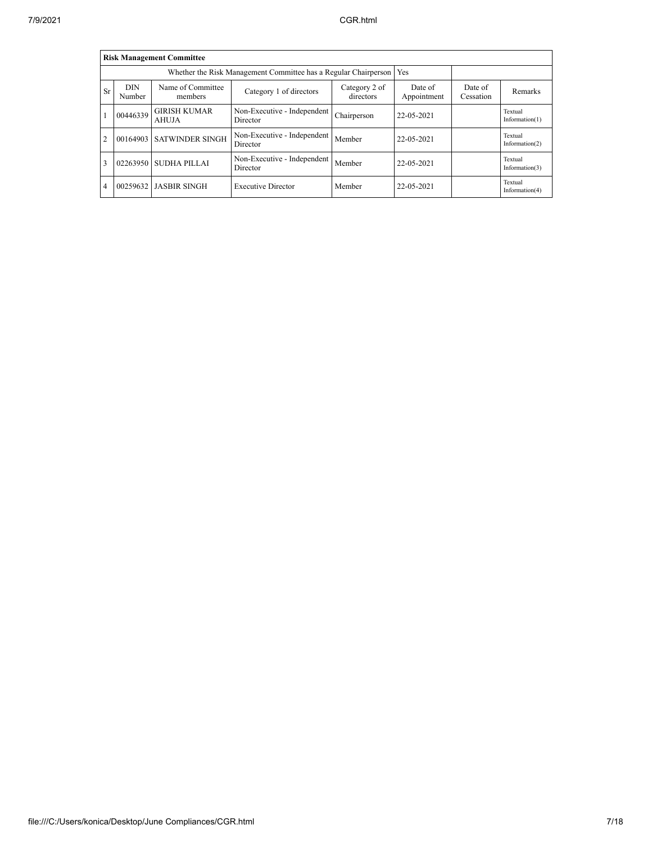|                | <b>Risk Management Committee</b> |                                                                 |                                         |                            |                        |                      |                              |  |  |  |  |  |  |
|----------------|----------------------------------|-----------------------------------------------------------------|-----------------------------------------|----------------------------|------------------------|----------------------|------------------------------|--|--|--|--|--|--|
|                |                                  | Whether the Risk Management Committee has a Regular Chairperson | Yes                                     |                            |                        |                      |                              |  |  |  |  |  |  |
| Sr             | <b>DIN</b><br>Number             | Name of Committee<br>members                                    | Category 1 of directors                 | Category 2 of<br>directors | Date of<br>Appointment | Date of<br>Cessation | Remarks                      |  |  |  |  |  |  |
|                | 00446339                         | <b>GIRISH KUMAR</b><br>AHUJA                                    | Non-Executive - Independent<br>Director | Chairperson                | 22-05-2021             |                      | Textual<br>Information $(1)$ |  |  |  |  |  |  |
| $\overline{2}$ | 00164903                         | <b>SATWINDER SINGH</b>                                          | Non-Executive - Independent<br>Director | Member                     | 22-05-2021             |                      | Textual<br>Information $(2)$ |  |  |  |  |  |  |
| 3              | 02263950                         | <b>SUDHA PILLAI</b>                                             | Non-Executive - Independent<br>Director | Member                     | 22-05-2021             |                      | Textual<br>Information $(3)$ |  |  |  |  |  |  |
| $\overline{4}$ | 00259632                         | <b>JASBIR SINGH</b>                                             | <b>Executive Director</b>               | Member                     | 22-05-2021             |                      | Textual<br>Information(4)    |  |  |  |  |  |  |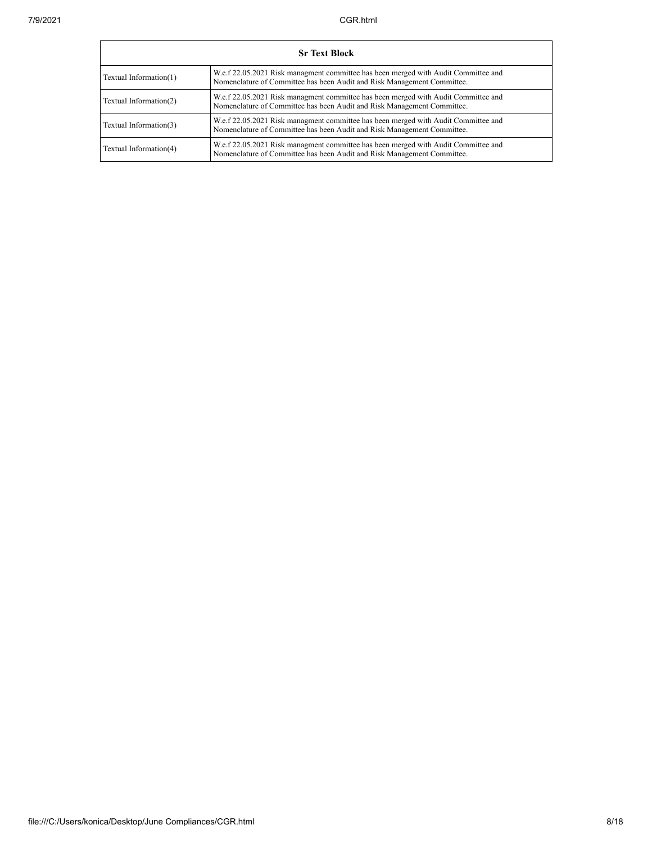|                        | <b>Sr Text Block</b>                                                                                                                                          |  |  |  |  |  |  |  |
|------------------------|---------------------------------------------------------------------------------------------------------------------------------------------------------------|--|--|--|--|--|--|--|
| Textual Information(1) | W.e.f 22.05.2021 Risk managment committee has been merged with Audit Committee and<br>Nomenclature of Committee has been Audit and Risk Management Committee. |  |  |  |  |  |  |  |
| Textual Information(2) | W.e.f 22.05.2021 Risk managment committee has been merged with Audit Committee and<br>Nomenclature of Committee has been Audit and Risk Management Committee. |  |  |  |  |  |  |  |
| Textual Information(3) | W.e.f 22.05.2021 Risk managment committee has been merged with Audit Committee and<br>Nomenclature of Committee has been Audit and Risk Management Committee. |  |  |  |  |  |  |  |
| Textual Information(4) | W.e.f 22.05.2021 Risk managment committee has been merged with Audit Committee and<br>Nomenclature of Committee has been Audit and Risk Management Committee. |  |  |  |  |  |  |  |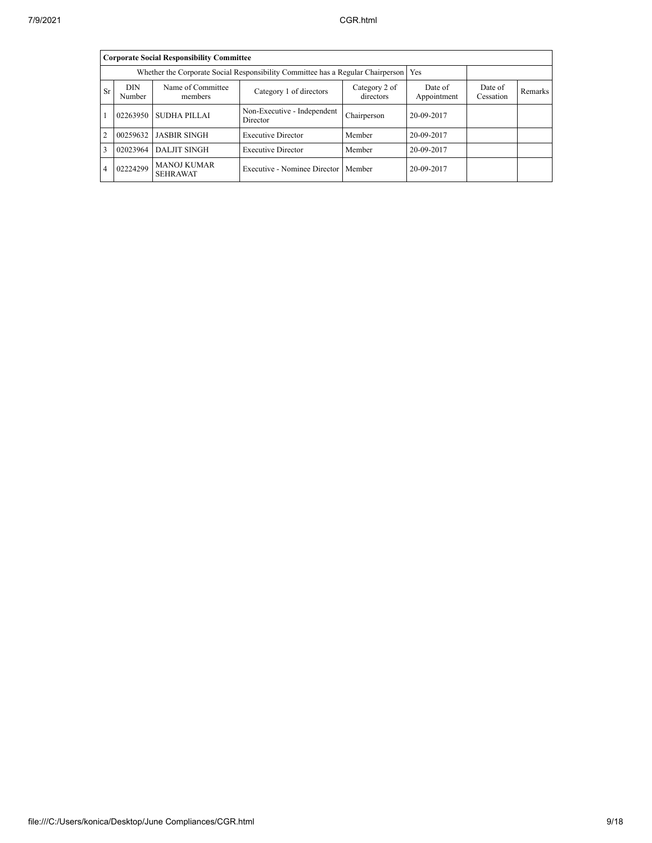|           | <b>Corporate Social Responsibility Committee</b> |                                                                                 |                                         |                            |                        |                      |         |  |  |  |  |
|-----------|--------------------------------------------------|---------------------------------------------------------------------------------|-----------------------------------------|----------------------------|------------------------|----------------------|---------|--|--|--|--|
|           |                                                  | Whether the Corporate Social Responsibility Committee has a Regular Chairperson | <b>Yes</b>                              |                            |                        |                      |         |  |  |  |  |
| <b>Sr</b> | <b>DIN</b><br>Number                             | Name of Committee<br>members                                                    | Category 1 of directors                 | Category 2 of<br>directors | Date of<br>Appointment | Date of<br>Cessation | Remarks |  |  |  |  |
|           | 02263950                                         | SUDHA PILLAI                                                                    | Non-Executive - Independent<br>Director | Chairperson                | 20-09-2017             |                      |         |  |  |  |  |
| 2         | 00259632                                         | <b>JASBIR SINGH</b>                                                             | <b>Executive Director</b>               | Member                     | 20-09-2017             |                      |         |  |  |  |  |
| 3         | 02023964                                         | <b>DALJIT SINGH</b>                                                             | <b>Executive Director</b>               | Member                     | 20-09-2017             |                      |         |  |  |  |  |
| 4         | 02224299                                         | <b>MANOJ KUMAR</b><br><b>SEHRAWAT</b>                                           | Executive - Nominee Director   Member   |                            | 20-09-2017             |                      |         |  |  |  |  |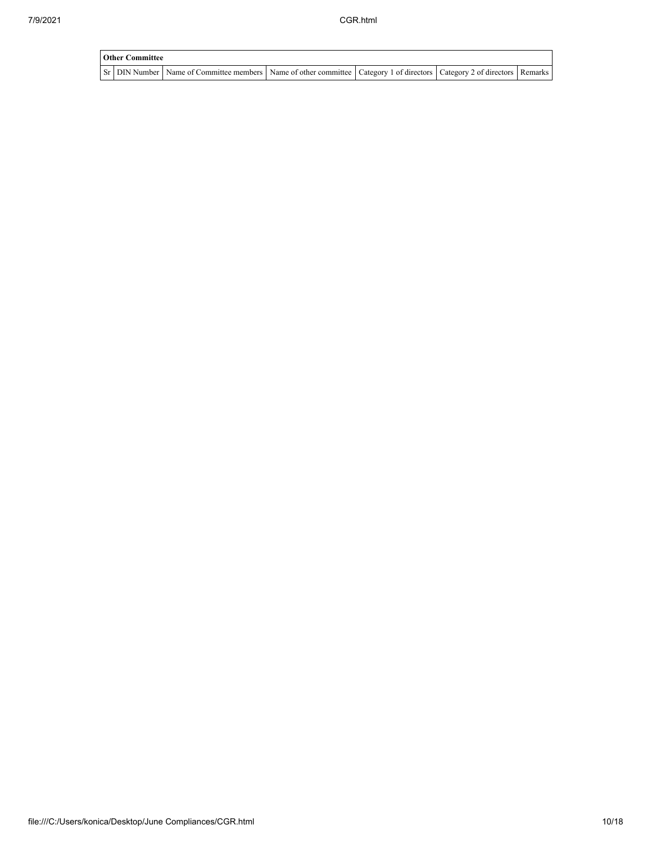| <b>Other Committee</b> |                                                                                                                                     |  |  |  |  |  |  |
|------------------------|-------------------------------------------------------------------------------------------------------------------------------------|--|--|--|--|--|--|
|                        | Sr   DIN Number   Name of Committee members   Name of other committee   Category 1 of directors   Category 2 of directors   Remarks |  |  |  |  |  |  |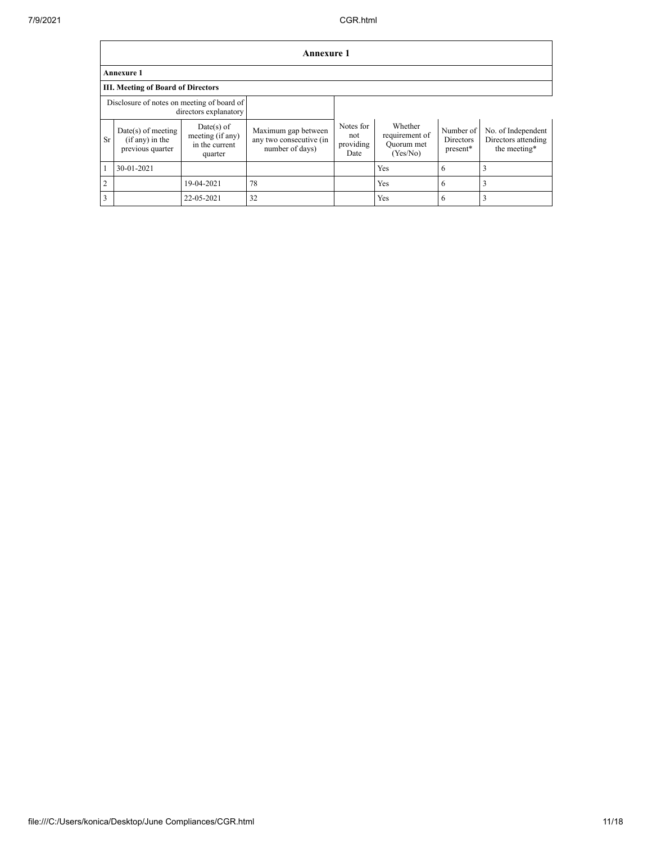|                                                                     | <b>Annexure 1</b>                                             |                                                               |                                                                   |                                       |                                                     |                                    |                                                           |
|---------------------------------------------------------------------|---------------------------------------------------------------|---------------------------------------------------------------|-------------------------------------------------------------------|---------------------------------------|-----------------------------------------------------|------------------------------------|-----------------------------------------------------------|
|                                                                     | <b>Annexure 1</b>                                             |                                                               |                                                                   |                                       |                                                     |                                    |                                                           |
|                                                                     | III. Meeting of Board of Directors                            |                                                               |                                                                   |                                       |                                                     |                                    |                                                           |
| Disclosure of notes on meeting of board of<br>directors explanatory |                                                               |                                                               |                                                                   |                                       |                                                     |                                    |                                                           |
| <b>Sr</b>                                                           | $Date(s)$ of meeting<br>$(if any)$ in the<br>previous quarter | $Date(s)$ of<br>meeting (if any)<br>in the current<br>quarter | Maximum gap between<br>any two consecutive (in<br>number of days) | Notes for<br>not<br>providing<br>Date | Whether<br>requirement of<br>Quorum met<br>(Yes/No) | Number of<br>Directors<br>present* | No. of Independent<br>Directors attending<br>the meeting* |
| $\mathbf{1}$                                                        | 30-01-2021                                                    |                                                               |                                                                   |                                       | Yes                                                 | 6                                  | 3                                                         |
| $\overline{2}$                                                      |                                                               | 19-04-2021                                                    | 78                                                                |                                       | Yes                                                 | 6                                  | 3                                                         |
| 3                                                                   |                                                               | 22-05-2021                                                    | 32                                                                |                                       | Yes                                                 | 6                                  | 3                                                         |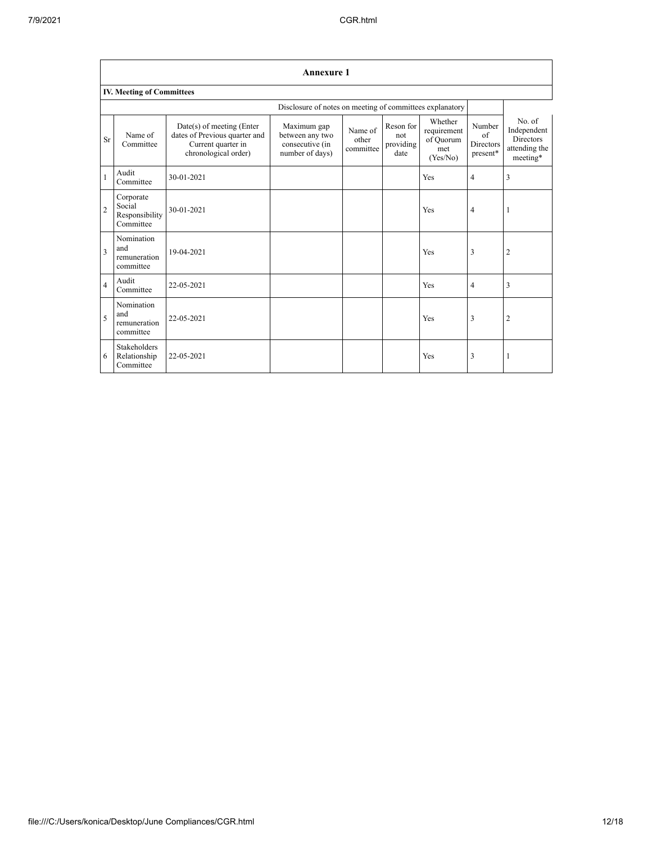|                | <b>Annexure 1</b>                                        |                                                                                                          |                                                                      |                               |                                       |                                                        |                                                           |                                                                        |
|----------------|----------------------------------------------------------|----------------------------------------------------------------------------------------------------------|----------------------------------------------------------------------|-------------------------------|---------------------------------------|--------------------------------------------------------|-----------------------------------------------------------|------------------------------------------------------------------------|
|                | IV. Meeting of Committees                                |                                                                                                          |                                                                      |                               |                                       |                                                        |                                                           |                                                                        |
|                | Disclosure of notes on meeting of committees explanatory |                                                                                                          |                                                                      |                               |                                       |                                                        |                                                           |                                                                        |
| <b>Sr</b>      | Name of<br>Committee                                     | Date(s) of meeting (Enter<br>dates of Previous quarter and<br>Current quarter in<br>chronological order) | Maximum gap<br>between any two<br>consecutive (in<br>number of days) | Name of<br>other<br>committee | Reson for<br>not<br>providing<br>date | Whether<br>requirement<br>of Quorum<br>met<br>(Yes/No) | Number<br>$\alpha$ f<br>Directors<br>$\, {\rm present}^*$ | No. of<br>Independent<br><b>Directors</b><br>attending the<br>meeting* |
| $\mathbf{1}$   | Audit<br>Committee                                       | 30-01-2021                                                                                               |                                                                      |                               |                                       | Yes                                                    | $\overline{4}$                                            | 3                                                                      |
| $\overline{c}$ | Corporate<br>Social<br>Responsibility<br>Committee       | 30-01-2021                                                                                               |                                                                      |                               |                                       | Yes                                                    | $\overline{4}$                                            | 1                                                                      |
| 3              | Nomination<br>and<br>remuneration<br>committee           | 19-04-2021                                                                                               |                                                                      |                               |                                       | Yes                                                    | 3                                                         | $\overline{2}$                                                         |
| $\overline{4}$ | Audit<br>Committee                                       | 22-05-2021                                                                                               |                                                                      |                               |                                       | Yes                                                    | 4                                                         | 3                                                                      |
| 5              | Nomination<br>and<br>remuneration<br>committee           | 22-05-2021                                                                                               |                                                                      |                               |                                       | Yes                                                    | 3                                                         | $\overline{2}$                                                         |
| 6              | <b>Stakeholders</b><br>Relationship<br>Committee         | 22-05-2021                                                                                               |                                                                      |                               |                                       | Yes                                                    | 3                                                         | 1                                                                      |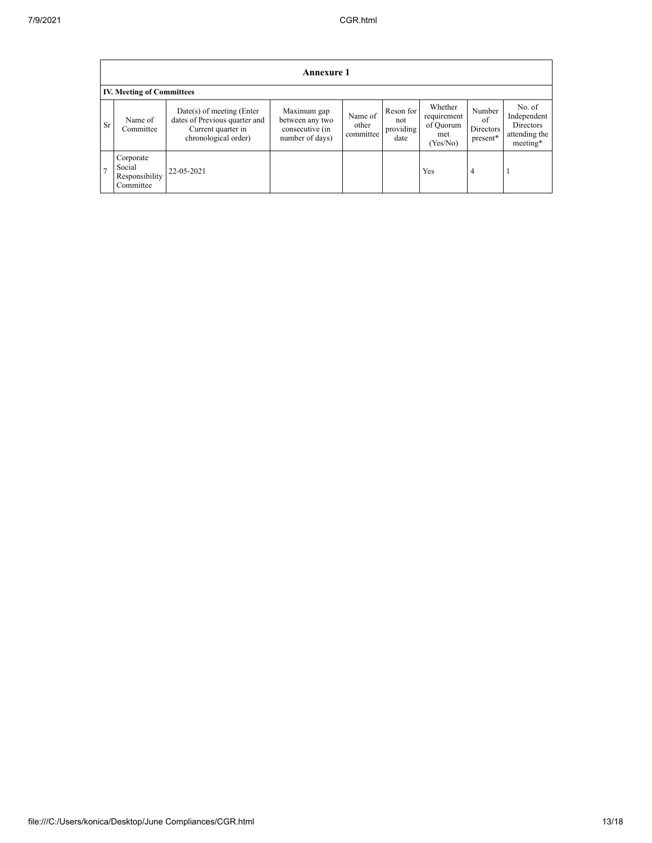|                | <b>Annexure 1</b> |                                                    |                                                                                                            |                                                                      |                               |                                       |                                                        |                                       |                                                                 |
|----------------|-------------------|----------------------------------------------------|------------------------------------------------------------------------------------------------------------|----------------------------------------------------------------------|-------------------------------|---------------------------------------|--------------------------------------------------------|---------------------------------------|-----------------------------------------------------------------|
|                |                   | <b>IV. Meeting of Committees</b>                   |                                                                                                            |                                                                      |                               |                                       |                                                        |                                       |                                                                 |
|                | <b>Sr</b>         | Name of<br>Committee                               | $Date(s)$ of meeting (Enter<br>dates of Previous quarter and<br>Current quarter in<br>chronological order) | Maximum gap<br>between any two<br>consecutive (in<br>number of days) | Name of<br>other<br>committee | Reson for<br>not<br>providing<br>date | Whether<br>requirement<br>of Quorum<br>met<br>(Yes/No) | Number<br>of<br>Directors<br>present* | No. of<br>Independent<br>Directors<br>attending the<br>meeting* |
| $\overline{7}$ |                   | Corporate<br>Social<br>Responsibility<br>Committee | 22-05-2021                                                                                                 |                                                                      |                               |                                       | Yes                                                    | 4                                     |                                                                 |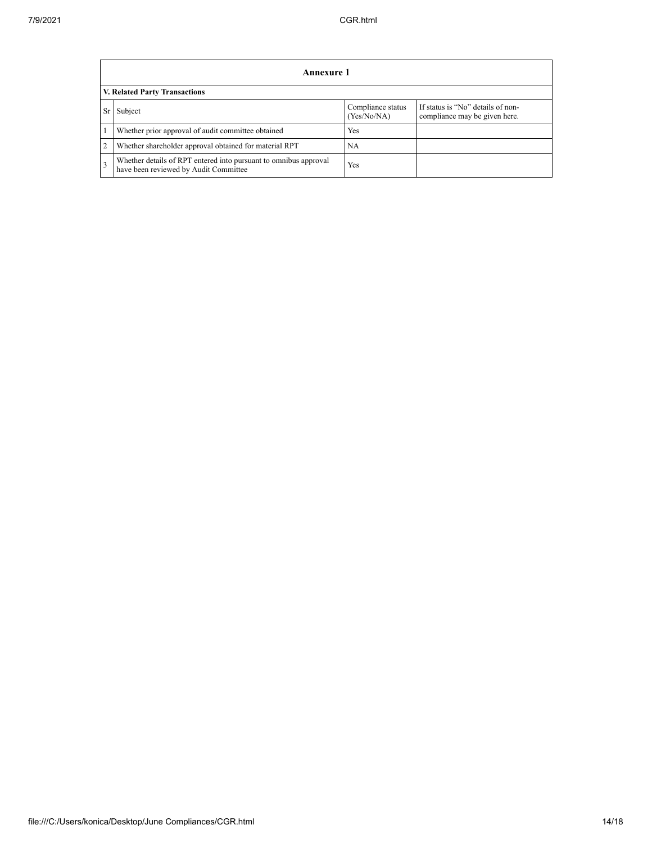|    | <b>Annexure 1</b>                                                                                         |                                  |                                                                    |  |  |
|----|-----------------------------------------------------------------------------------------------------------|----------------------------------|--------------------------------------------------------------------|--|--|
|    | V. Related Party Transactions                                                                             |                                  |                                                                    |  |  |
| Sr | Subject                                                                                                   | Compliance status<br>(Yes/No/NA) | If status is "No" details of non-<br>compliance may be given here. |  |  |
|    | Whether prior approval of audit committee obtained                                                        | Yes                              |                                                                    |  |  |
| 2  | Whether shareholder approval obtained for material RPT                                                    | NA                               |                                                                    |  |  |
| 3  | Whether details of RPT entered into pursuant to omnibus approval<br>have been reviewed by Audit Committee | Yes                              |                                                                    |  |  |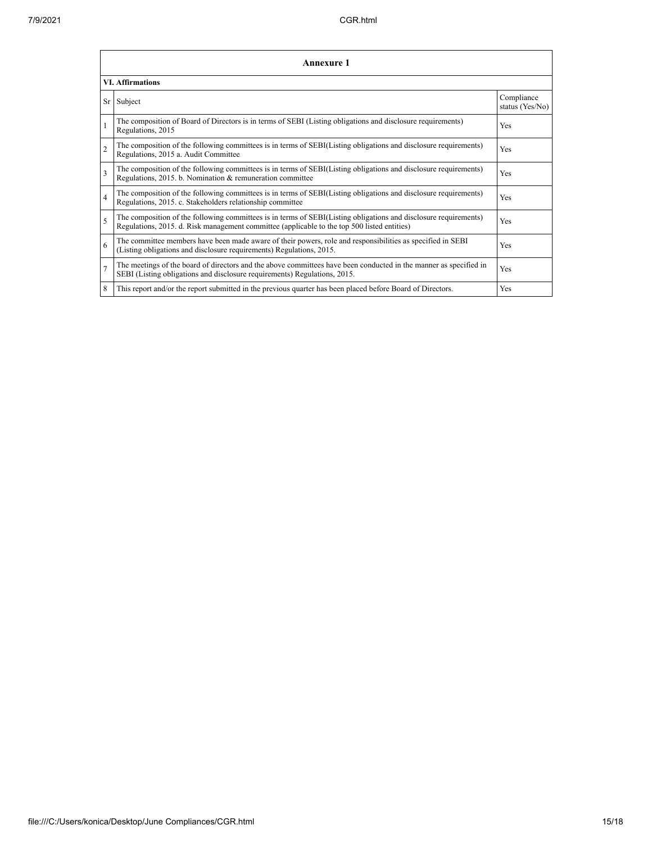h

|                          | Annexure 1                                                                                                                                                                                                      |                               |  |  |  |
|--------------------------|-----------------------------------------------------------------------------------------------------------------------------------------------------------------------------------------------------------------|-------------------------------|--|--|--|
|                          | <b>VI.</b> Affirmations                                                                                                                                                                                         |                               |  |  |  |
| Sr                       | Subject                                                                                                                                                                                                         | Compliance<br>status (Yes/No) |  |  |  |
|                          | The composition of Board of Directors is in terms of SEBI (Listing obligations and disclosure requirements)<br>Regulations, 2015                                                                                | Yes                           |  |  |  |
| $\overline{2}$           | The composition of the following committees is in terms of SEBI(Listing obligations and disclosure requirements)<br>Regulations, 2015 a. Audit Committee                                                        | Yes                           |  |  |  |
| $\overline{\mathbf{3}}$  | The composition of the following committees is in terms of SEBI(Listing obligations and disclosure requirements)<br>Regulations, 2015. b. Nomination & remuneration committee                                   | Yes                           |  |  |  |
| 4                        | The composition of the following committees is in terms of SEBI(Listing obligations and disclosure requirements)<br>Regulations, 2015. c. Stakeholders relationship committee                                   | Yes                           |  |  |  |
| $\overline{\phantom{0}}$ | The composition of the following committees is in terms of SEBI(Listing obligations and disclosure requirements)<br>Regulations, 2015. d. Risk management committee (applicable to the top 500 listed entities) | <b>Yes</b>                    |  |  |  |
| 6                        | The committee members have been made aware of their powers, role and responsibilities as specified in SEBI<br>(Listing obligations and disclosure requirements) Regulations, 2015.                              | <b>Yes</b>                    |  |  |  |
| $\overline{7}$           | The meetings of the board of directors and the above committees have been conducted in the manner as specified in<br>SEBI (Listing obligations and disclosure requirements) Regulations, 2015.                  | Yes                           |  |  |  |
| 8                        | This report and/or the report submitted in the previous quarter has been placed before Board of Directors.                                                                                                      | Yes                           |  |  |  |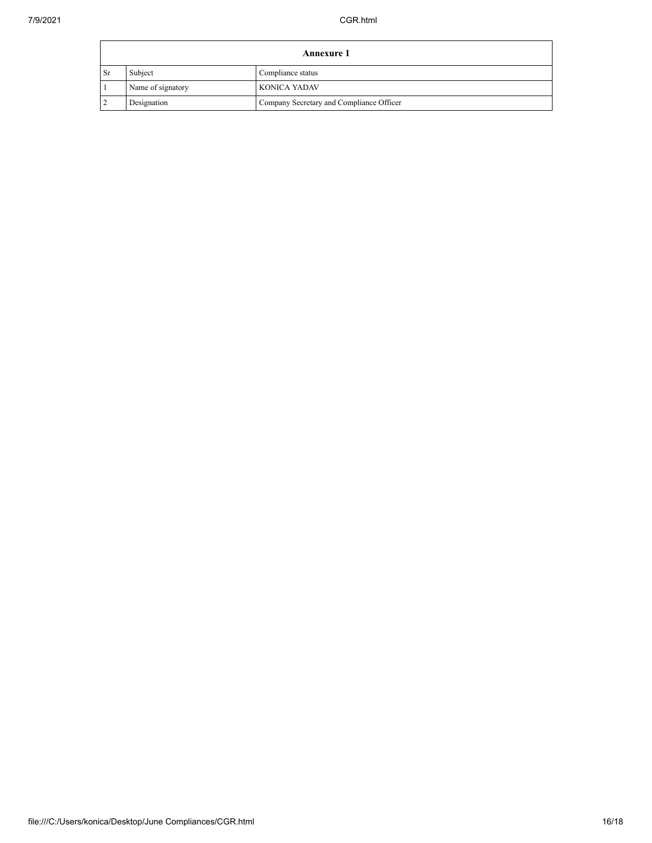|                | <b>Annexure 1</b> |                                          |  |
|----------------|-------------------|------------------------------------------|--|
| Sr             | Subject           | Compliance status                        |  |
|                | Name of signatory | <b>KONICA YADAV</b>                      |  |
| $\overline{2}$ | Designation       | Company Secretary and Compliance Officer |  |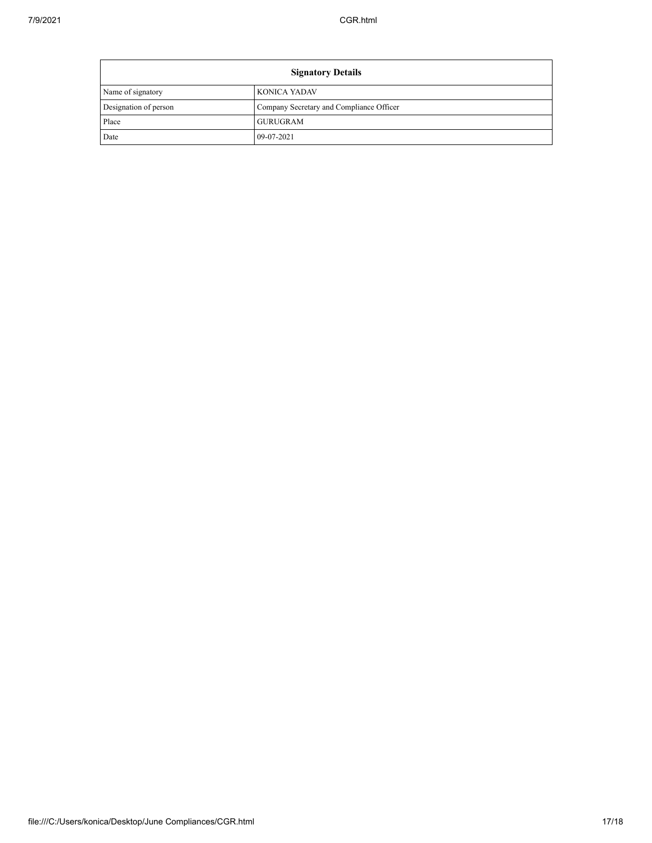| <b>Signatory Details</b> |                                          |
|--------------------------|------------------------------------------|
| Name of signatory        | <b>KONICA YADAV</b>                      |
| Designation of person    | Company Secretary and Compliance Officer |
| Place                    | <b>GURUGRAM</b>                          |
| Date                     | 09-07-2021                               |